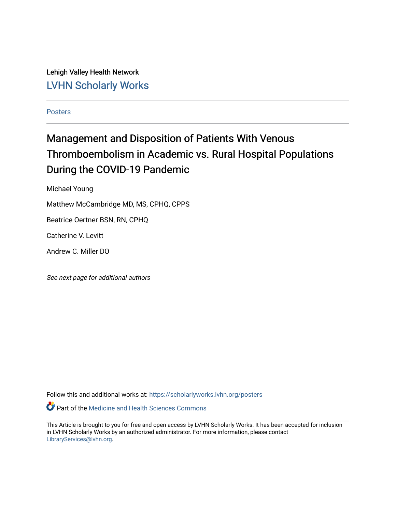Lehigh Valley Health Network [LVHN Scholarly Works](https://scholarlyworks.lvhn.org/)

[Posters](https://scholarlyworks.lvhn.org/posters) 

### Management and Disposition of Patients With Venous Thromboembolism in Academic vs. Rural Hospital Populations During the COVID-19 Pandemic

Michael Young

Matthew McCambridge MD, MS, CPHQ, CPPS

Beatrice Oertner BSN, RN, CPHQ

Catherine V. Levitt

Andrew C. Miller DO

See next page for additional authors

Follow this and additional works at: [https://scholarlyworks.lvhn.org/posters](https://scholarlyworks.lvhn.org/posters?utm_source=scholarlyworks.lvhn.org%2Fposters%2F25&utm_medium=PDF&utm_campaign=PDFCoverPages) 

Part of the [Medicine and Health Sciences Commons](http://network.bepress.com/hgg/discipline/648?utm_source=scholarlyworks.lvhn.org%2Fposters%2F25&utm_medium=PDF&utm_campaign=PDFCoverPages) 

This Article is brought to you for free and open access by LVHN Scholarly Works. It has been accepted for inclusion in LVHN Scholarly Works by an authorized administrator. For more information, please contact [LibraryServices@lvhn.org](mailto:LibraryServices@lvhn.org).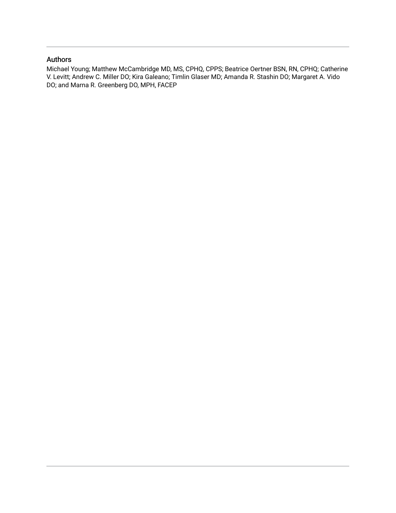### Authors

Michael Young; Matthew McCambridge MD, MS, CPHQ, CPPS; Beatrice Oertner BSN, RN, CPHQ; Catherine V. Levitt; Andrew C. Miller DO; Kira Galeano; Timlin Glaser MD; Amanda R. Stashin DO; Margaret A. Vido DO; and Marna R. Greenberg DO, MPH, FACEP